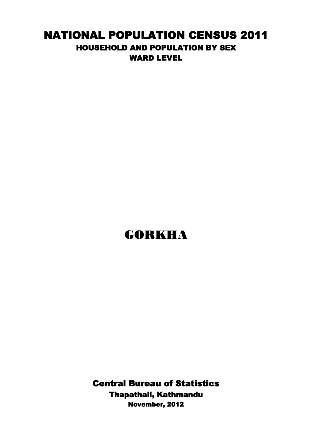## NATIONAL POPULATION CENSUS 2011 HOUSEHOLD AND POPULATION BY SEX WARD LEVEL

## GORKHA

Central Bureau of Statistics Thapathali, Kathmandu November, 2012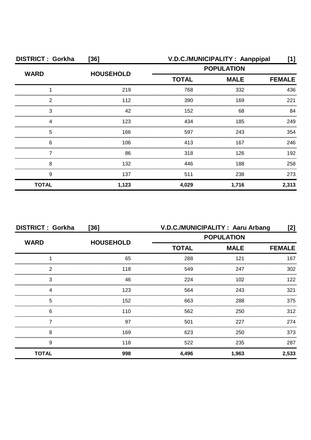| <b>DISTRICT: Gorkha</b> | [36]             |                             | V.D.C./MUNICIPALITY: Aanppipal | [1]           |
|-------------------------|------------------|-----------------------------|--------------------------------|---------------|
| <b>WARD</b>             | <b>HOUSEHOLD</b> | <b>POPULATION</b>           |                                |               |
|                         |                  | <b>TOTAL</b><br><b>MALE</b> |                                | <b>FEMALE</b> |
|                         | 219              | 768                         | 332                            | 436           |
| 2                       | 112              | 390                         | 169                            | 221           |
| З                       | 42               | 152                         | 68                             | 84            |
|                         | 123              | 434                         | 185                            | 249           |
| 5                       | 166              | 597                         | 243                            | 354           |
| 6                       | 106              | 413                         | 167                            | 246           |
|                         | 86               | 318                         | 126                            | 192           |
| 8                       | 132              | 446                         | 188                            | 258           |
| 9                       | 137              | 511                         | 238                            | 273           |
| <b>TOTAL</b>            | 1,123            | 4,029                       | 1,716                          | 2,313         |

| <b>DISTRICT: Gorkha</b> | $[36]$           | V.D.C./MUNICIPALITY: Aaru Arbang |                              |       |
|-------------------------|------------------|----------------------------------|------------------------------|-------|
| <b>WARD</b>             |                  | <b>POPULATION</b>                |                              |       |
|                         | <b>HOUSEHOLD</b> | <b>TOTAL</b>                     | <b>MALE</b><br><b>FEMALE</b> |       |
|                         | 65               | 288                              | 121                          | 167   |
| っ                       | 118              | 549                              | 247                          | 302   |
| 3                       | 46               | 224                              | 102                          | 122   |
|                         | 123              | 564                              | 243                          | 321   |
| 5                       | 152              | 663                              | 288                          | 375   |
| 6                       | 110              | 562                              | 250                          | 312   |
|                         | 97               | 501                              | 227                          | 274   |
| 8                       | 169              | 623                              | 250                          | 373   |
| 9                       | 118              | 522                              | 235                          | 287   |
| <b>TOTAL</b>            | 998              | 4,496                            | 1,963                        | 2,533 |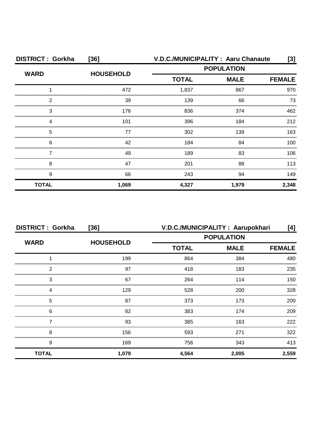| <b>DISTRICT: Gorkha</b> | [36]             | V.D.C./MUNICIPALITY: Aaru Chanaute |                                                  | [3]           |
|-------------------------|------------------|------------------------------------|--------------------------------------------------|---------------|
| <b>WARD</b>             | <b>HOUSEHOLD</b> |                                    | <b>POPULATION</b><br><b>MALE</b><br><b>TOTAL</b> |               |
|                         |                  |                                    |                                                  | <b>FEMALE</b> |
|                         | 472              | 1,837                              | 867                                              | 970           |
| 2                       | 39               | 139                                | 66                                               | 73            |
| 3                       | 176              | 836                                | 374                                              | 462           |
|                         | 101              | 396                                | 184                                              | 212           |
| 5                       | 77               | 302                                | 139                                              | 163           |
| 6                       | 42               | 184                                | 84                                               | 100           |
|                         | 49               | 189                                | 83                                               | 106           |
| 8                       | 47               | 201                                | 88                                               | 113           |
| 9                       | 66               | 243                                | 94                                               | 149           |
| <b>TOTAL</b>            | 1,069            | 4,327                              | 1,979                                            | 2,348         |

| <b>DISTRICT: Gorkha</b> | $[36]$           | V.D.C./MUNICIPALITY: Aarupokhari |             | [4]           |
|-------------------------|------------------|----------------------------------|-------------|---------------|
| <b>WARD</b>             | <b>HOUSEHOLD</b> | <b>POPULATION</b>                |             |               |
|                         |                  | <b>TOTAL</b>                     | <b>MALE</b> | <b>FEMALE</b> |
|                         | 199              | 864                              | 384         | 480           |
| 2                       | 97               | 418                              | 183         | 235           |
| 3                       | 67               | 264                              | 114         | 150           |
| Δ                       | 129              | 528                              | 200         | 328           |
| 5                       | 87               | 373                              | 173         | 200           |
| 6                       | 82               | 383                              | 174         | 209           |
|                         | 93               | 385                              | 163         | 222           |
| 8                       | 156              | 593                              | 271         | 322           |
| 9                       | 169              | 756                              | 343         | 413           |
| <b>TOTAL</b>            | 1,079            | 4,564                            | 2,005       | 2,559         |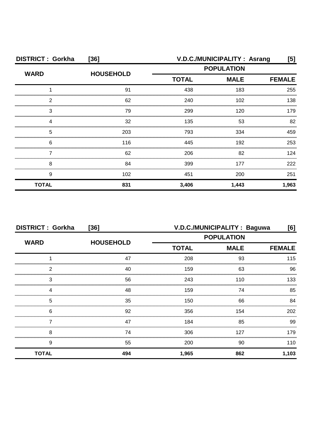| <b>DISTRICT: Gorkha</b> | $[36]$           | V.D.C./MUNICIPALITY: Asrang<br>[5] |             |               |
|-------------------------|------------------|------------------------------------|-------------|---------------|
| <b>WARD</b>             | <b>HOUSEHOLD</b> | <b>POPULATION</b>                  |             |               |
|                         |                  | <b>TOTAL</b>                       | <b>MALE</b> | <b>FEMALE</b> |
|                         | 91               | 438                                | 183         | 255           |
| ◠                       | 62               | 240                                | 102         | 138           |
| З                       | 79               | 299                                | 120         | 179           |
|                         | 32               | 135                                | 53          | 82            |
| 5                       | 203              | 793                                | 334         | 459           |
| 6                       | 116              | 445                                | 192         | 253           |
|                         | 62               | 206                                | 82          | 124           |
| 8                       | 84               | 399                                | 177         | 222           |
| 9                       | 102              | 451                                | 200         | 251           |
| <b>TOTAL</b>            | 831              | 3,406                              | 1,443       | 1,963         |

| <b>DISTRICT: Gorkha</b><br>$[36]$ |                  | V.D.C./MUNICIPALITY: Baguwa<br>[6] |             |               |
|-----------------------------------|------------------|------------------------------------|-------------|---------------|
| <b>WARD</b>                       | <b>HOUSEHOLD</b> | <b>POPULATION</b>                  |             |               |
|                                   |                  | <b>TOTAL</b>                       | <b>MALE</b> | <b>FEMALE</b> |
|                                   | 47               | 208                                | 93          | 115           |
| 2                                 | 40               | 159                                | 63          | 96            |
| 3                                 | 56               | 243                                | 110         | 133           |
| Δ                                 | 48               | 159                                | 74          | 85            |
| 5                                 | 35               | 150                                | 66          | 84            |
| 6                                 | 92               | 356                                | 154         | 202           |
|                                   | 47               | 184                                | 85          | 99            |
| 8                                 | 74               | 306                                | 127         | 179           |
| 9                                 | 55               | 200                                | 90          | 110           |
| <b>TOTAL</b>                      | 494              | 1,965                              | 862         | 1,103         |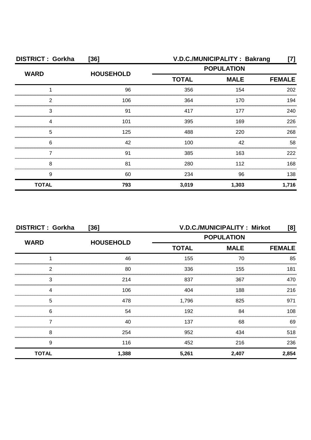| <b>DISTRICT: Gorkha</b> | $[36]$           | V.D.C./MUNICIPALITY: Bakrang<br>[7]              |       |               |
|-------------------------|------------------|--------------------------------------------------|-------|---------------|
| <b>WARD</b>             | <b>HOUSEHOLD</b> | <b>POPULATION</b><br><b>TOTAL</b><br><b>MALE</b> |       |               |
|                         |                  |                                                  |       | <b>FEMALE</b> |
|                         | 96               | 356                                              | 154   | 202           |
| 2                       | 106              | 364                                              | 170   | 194           |
| З                       | 91               | 417                                              | 177   | 240           |
|                         | 101              | 395                                              | 169   | 226           |
| 5                       | 125              | 488                                              | 220   | 268           |
| 6                       | 42               | 100                                              | 42    | 58            |
|                         | 91               | 385                                              | 163   | 222           |
| 8                       | 81               | 280                                              | 112   | 168           |
| 9                       | 60               | 234                                              | 96    | 138           |
| <b>TOTAL</b>            | 793              | 3,019                                            | 1,303 | 1,716         |

| <b>DISTRICT: Gorkha</b><br>$[36]$ |                  | V.D.C./MUNICIPALITY: Mirkot                      |               | [8]   |
|-----------------------------------|------------------|--------------------------------------------------|---------------|-------|
| <b>WARD</b>                       |                  | <b>POPULATION</b><br><b>TOTAL</b><br><b>MALE</b> |               |       |
|                                   | <b>HOUSEHOLD</b> |                                                  | <b>FEMALE</b> |       |
|                                   | 46               | 155                                              | 70            | 85    |
| 2                                 | 80               | 336                                              | 155           | 181   |
| 3                                 | 214              | 837                                              | 367           | 470   |
| Δ                                 | 106              | 404                                              | 188           | 216   |
| 5                                 | 478              | 1,796                                            | 825           | 971   |
| 6                                 | 54               | 192                                              | 84            | 108   |
|                                   | 40               | 137                                              | 68            | 69    |
| 8                                 | 254              | 952                                              | 434           | 518   |
| 9                                 | 116              | 452                                              | 216           | 236   |
| <b>TOTAL</b>                      | 1,388            | 5,261                                            | 2,407         | 2,854 |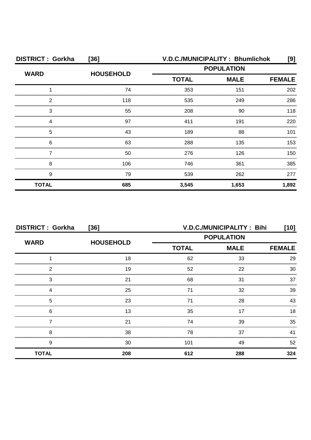| <b>DISTRICT: Gorkha</b> | $[36]$           |                   | V.D.C./MUNICIPALITY: Bhumlichok | [9]           |
|-------------------------|------------------|-------------------|---------------------------------|---------------|
| <b>WARD</b>             | <b>HOUSEHOLD</b> | <b>POPULATION</b> |                                 |               |
|                         |                  | <b>TOTAL</b>      | <b>MALE</b>                     | <b>FEMALE</b> |
|                         | 74               | 353               | 151                             | 202           |
| 2                       | 118              | 535               | 249                             | 286           |
| 3                       | 55               | 208               | 90                              | 118           |
|                         | 97               | 411               | 191                             | 220           |
| 5                       | 43               | 189               | 88                              | 101           |
| 6                       | 63               | 288               | 135                             | 153           |
|                         | 50               | 276               | 126                             | 150           |
| 8                       | 106              | 746               | 361                             | 385           |
| 9                       | 79               | 539               | 262                             | 277           |
| <b>TOTAL</b>            | 685              | 3,545             | 1,653                           | 1,892         |

| <b>DISTRICT: Gorkha</b><br>$[36]$ |                  |                   | V.D.C./MUNICIPALITY: Bihi | [10]          |
|-----------------------------------|------------------|-------------------|---------------------------|---------------|
| <b>WARD</b>                       | <b>HOUSEHOLD</b> | <b>POPULATION</b> |                           |               |
|                                   |                  | <b>TOTAL</b>      | <b>MALE</b>               | <b>FEMALE</b> |
|                                   | 18               | 62                | 33                        | 29            |
| 2                                 | 19               | 52                | 22                        | 30            |
| 3                                 | 21               | 68                | 31                        | 37            |
|                                   | 25               | 71                | 32                        | 39            |
| 5                                 | 23               | 71                | 28                        | 43            |
| 6                                 | 13               | 35                | 17                        | 18            |
|                                   | 21               | 74                | 39                        | 35            |
| 8                                 | 38               | 78                | 37                        | 41            |
| 9                                 | 30               | 101               | 49                        | 52            |
| <b>TOTAL</b>                      | 208              | 612               | 288                       | 324           |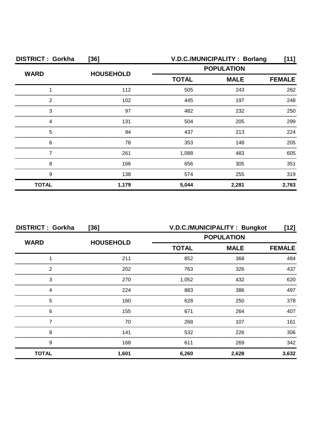| <b>DISTRICT: Gorkha</b> | $[36]$           |                                                  | V.D.C./MUNICIPALITY: Borlang | ี่ 11] |
|-------------------------|------------------|--------------------------------------------------|------------------------------|--------|
| <b>WARD</b>             | <b>HOUSEHOLD</b> | <b>POPULATION</b><br><b>TOTAL</b><br><b>MALE</b> |                              |        |
|                         |                  |                                                  | <b>FEMALE</b>                |        |
|                         | 112              | 505                                              | 243                          | 262    |
| 2                       | 102              | 445                                              | 197                          | 248    |
| 3                       | 97               | 482                                              | 232                          | 250    |
|                         | 131              | 504                                              | 205                          | 299    |
| 5                       | 94               | 437                                              | 213                          | 224    |
| 6                       | 78               | 353                                              | 148                          | 205    |
|                         | 261              | 1,088                                            | 483                          | 605    |
| 8                       | 166              | 656                                              | 305                          | 351    |
| 9                       | 138              | 574                                              | 255                          | 319    |
| <b>TOTAL</b>            | 1,179            | 5,044                                            | 2,281                        | 2,763  |

| <b>DISTRICT: Gorkha</b><br>$[36]$ |                  | V.D.C./MUNICIPALITY: Bungkot<br>[12]             |       |               |
|-----------------------------------|------------------|--------------------------------------------------|-------|---------------|
| <b>WARD</b>                       | <b>HOUSEHOLD</b> | <b>POPULATION</b><br><b>MALE</b><br><b>TOTAL</b> |       |               |
|                                   |                  |                                                  |       | <b>FEMALE</b> |
|                                   | 211              | 852                                              | 368   | 484           |
| 2                                 | 202              | 763                                              | 326   | 437           |
| 3                                 | 270              | 1,052                                            | 432   | 620           |
|                                   | 224              | 883                                              | 386   | 497           |
| 5                                 | 160              | 628                                              | 250   | 378           |
| 6                                 | 155              | 671                                              | 264   | 407           |
|                                   | 70               | 268                                              | 107   | 161           |
| 8                                 | 141              | 532                                              | 226   | 306           |
| 9                                 | 168              | 611                                              | 269   | 342           |
| <b>TOTAL</b>                      | 1,601            | 6,260                                            | 2,628 | 3,632         |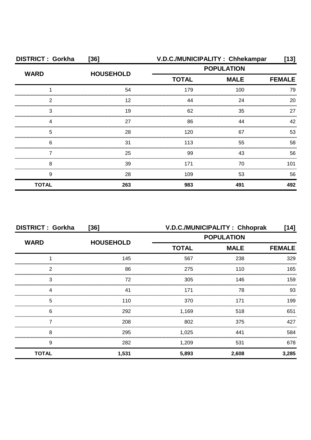| <b>DISTRICT: Gorkha</b> | $[36]$           | V.D.C./MUNICIPALITY: Chhekampar |                                                  | [13]          |
|-------------------------|------------------|---------------------------------|--------------------------------------------------|---------------|
| <b>WARD</b>             | <b>HOUSEHOLD</b> |                                 | <b>POPULATION</b><br><b>TOTAL</b><br><b>MALE</b> |               |
|                         |                  |                                 |                                                  | <b>FEMALE</b> |
|                         | 54               | 179                             | 100                                              | 79            |
| 2                       | 12               | 44                              | 24                                               | 20            |
| 3                       | 19               | 62                              | 35                                               | 27            |
|                         | 27               | 86                              | 44                                               | 42            |
| 5                       | 28               | 120                             | 67                                               | 53            |
| 6                       | 31               | 113                             | 55                                               | 58            |
|                         | 25               | 99                              | 43                                               | 56            |
| 8                       | 39               | 171                             | 70                                               | 101           |
| 9                       | 28               | 109                             | 53                                               | 56            |
| <b>TOTAL</b>            | 263              | 983                             | 491                                              | 492           |

| <b>DISTRICT: Gorkha</b><br>$[36]$ |                  | V.D.C./MUNICIPALITY: Chhoprak<br>[14] |             |       |
|-----------------------------------|------------------|---------------------------------------|-------------|-------|
| <b>WARD</b>                       | <b>HOUSEHOLD</b> | <b>POPULATION</b>                     |             |       |
|                                   |                  | <b>TOTAL</b>                          | <b>MALE</b> |       |
|                                   | 145              | 567                                   | 238         | 329   |
| っ                                 | 86               | 275                                   | 110         | 165   |
| 3                                 | 72               | 305                                   | 146         | 159   |
|                                   | 41               | 171                                   | 78          | 93    |
| 5                                 | 110              | 370                                   | 171         | 199   |
| 6                                 | 292              | 1,169                                 | 518         | 651   |
|                                   | 208              | 802                                   | 375         | 427   |
| 8                                 | 295              | 1,025                                 | 441         | 584   |
| 9                                 | 282              | 1,209                                 | 531         | 678   |
| <b>TOTAL</b>                      | 1,531            | 5,893                                 | 2,608       | 3,285 |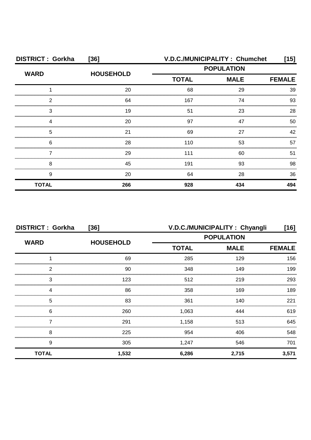| <b>DISTRICT: Gorkha</b> | $[36]$           |                                                  | V.D.C./MUNICIPALITY: Chumchet | [15] |
|-------------------------|------------------|--------------------------------------------------|-------------------------------|------|
| <b>WARD</b>             | <b>HOUSEHOLD</b> | <b>POPULATION</b><br><b>MALE</b><br><b>TOTAL</b> |                               |      |
|                         |                  |                                                  | <b>FEMALE</b>                 |      |
|                         | 20               | 68                                               | 29                            | 39   |
| ົ                       | 64               | 167                                              | 74                            | 93   |
| 3                       | 19               | 51                                               | 23                            | 28   |
|                         | 20               | 97                                               | 47                            | 50   |
| 5                       | 21               | 69                                               | 27                            | 42   |
| 6                       | 28               | 110                                              | 53                            | 57   |
|                         | 29               | 111                                              | 60                            | 51   |
| 8                       | 45               | 191                                              | 93                            | 98   |
| 9                       | 20               | 64                                               | 28                            | 36   |
| <b>TOTAL</b>            | 266              | 928                                              | 434                           | 494  |

| <b>DISTRICT: Gorkha</b><br>$[36]$ |                  | V.D.C./MUNICIPALITY: Chyangli<br>[16] |             |               |
|-----------------------------------|------------------|---------------------------------------|-------------|---------------|
|                                   |                  | <b>POPULATION</b>                     |             |               |
| <b>WARD</b>                       | <b>HOUSEHOLD</b> | <b>TOTAL</b>                          | <b>MALE</b> | <b>FEMALE</b> |
|                                   | 69               | 285                                   | 129         | 156           |
| っ                                 | 90               | 348                                   | 149         | 199           |
| 3                                 | 123              | 512                                   | 219         | 293           |
|                                   | 86               | 358                                   | 169         | 189           |
| 5                                 | 83               | 361                                   | 140         | 221           |
| 6                                 | 260              | 1,063                                 | 444         | 619           |
|                                   | 291              | 1,158                                 | 513         | 645           |
| 8                                 | 225              | 954                                   | 406         | 548           |
| 9                                 | 305              | 1,247                                 | 546         | 701           |
| <b>TOTAL</b>                      | 1,532            | 6,286                                 | 2,715       | 3,571         |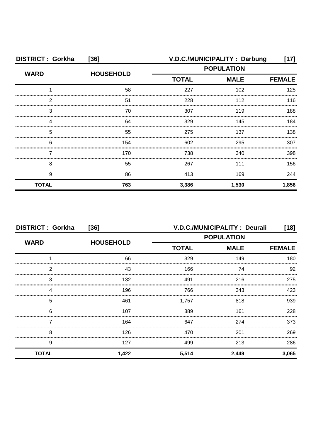| <b>DISTRICT: Gorkha</b> | $[36]$           |                                                  | V.D.C./MUNICIPALITY: Darbung | [17]          |
|-------------------------|------------------|--------------------------------------------------|------------------------------|---------------|
| <b>WARD</b>             | <b>HOUSEHOLD</b> | <b>POPULATION</b><br><b>TOTAL</b><br><b>MALE</b> |                              |               |
|                         |                  |                                                  |                              | <b>FEMALE</b> |
|                         | 58               | 227                                              | 102                          | 125           |
| 2                       | 51               | 228                                              | 112                          | 116           |
| З                       | 70               | 307                                              | 119                          | 188           |
|                         | 64               | 329                                              | 145                          | 184           |
| 5                       | 55               | 275                                              | 137                          | 138           |
| 6                       | 154              | 602                                              | 295                          | 307           |
|                         | 170              | 738                                              | 340                          | 398           |
| 8                       | 55               | 267                                              | 111                          | 156           |
| 9                       | 86               | 413                                              | 169                          | 244           |
| <b>TOTAL</b>            | 763              | 3,386                                            | 1,530                        | 1,856         |

| <b>DISTRICT: Gorkha</b><br>$[36]$ |                  | <b>V.D.C./MUNICIPALITY : Deurali</b><br>$[18]$ |                   |               |  |
|-----------------------------------|------------------|------------------------------------------------|-------------------|---------------|--|
|                                   |                  |                                                | <b>POPULATION</b> |               |  |
| <b>WARD</b>                       | <b>HOUSEHOLD</b> | <b>TOTAL</b>                                   | <b>MALE</b>       | <b>FEMALE</b> |  |
|                                   | 66               | 329                                            | 149               | 180           |  |
| 2                                 | 43               | 166                                            | 74                | 92            |  |
| 3                                 | 132              | 491                                            | 216               | 275           |  |
| 4                                 | 196              | 766                                            | 343               | 423           |  |
| 5                                 | 461              | 1.757                                          | 818               | 939           |  |
| 6                                 | 107              | 389                                            | 161               | 228           |  |
|                                   | 164              | 647                                            | 274               | 373           |  |
| 8                                 | 126              | 470                                            | 201               | 269           |  |
| 9                                 | 127              | 499                                            | 213               | 286           |  |
| <b>TOTAL</b>                      | 1,422            | 5,514                                          | 2,449             | 3,065         |  |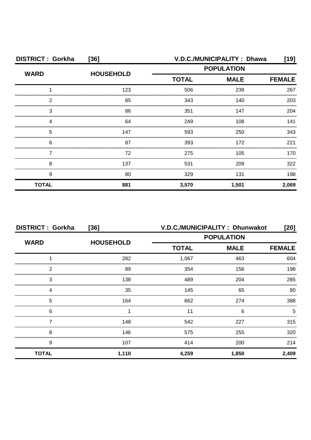| <b>DISTRICT: Gorkha</b> | $[36]$           | V.D.C./MUNICIPALITY: Dhawa<br>[19] |             |               |
|-------------------------|------------------|------------------------------------|-------------|---------------|
| <b>WARD</b>             | <b>HOUSEHOLD</b> | <b>POPULATION</b>                  |             |               |
|                         |                  | <b>TOTAL</b>                       | <b>MALE</b> | <b>FEMALE</b> |
|                         | 123              | 506                                | 239         | 267           |
| 2                       | 85               | 343                                | 140         | 203           |
| 3                       | 86               | 351                                | 147         | 204           |
|                         | 64               | 249                                | 108         | 141           |
| 5                       | 147              | 593                                | 250         | 343           |
| 6                       | 87               | 393                                | 172         | 221           |
|                         | 72               | 275                                | 105         | 170           |
| 8                       | 137              | 531                                | 209         | 322           |
| 9                       | 80               | 329                                | 131         | 198           |
| <b>TOTAL</b>            | 881              | 3,570                              | 1,501       | 2,069         |

| <b>DISTRICT: Gorkha</b> | $[36]$           |                   | V.D.C./MUNICIPALITY: Dhunwakot | $[20]$        |
|-------------------------|------------------|-------------------|--------------------------------|---------------|
| <b>WARD</b>             | <b>HOUSEHOLD</b> | <b>POPULATION</b> |                                |               |
|                         |                  | <b>TOTAL</b>      | <b>MALE</b>                    | <b>FEMALE</b> |
|                         | 282              | 1,067             | 463                            | 604           |
| 2                       | 89               | 354               | 156                            | 198           |
| 3                       | 138              | 489               | 204                            | 285           |
| Δ                       | 35               | 145               | 65                             | 80            |
| 5                       | 164              | 662               | 274                            | 388           |
| 6                       |                  | 11                | 6                              |               |
|                         | 148              | 542               | 227                            | 315           |
| 8                       | 146              | 575               | 255                            | 320           |
| 9                       | 107              | 414               | 200                            | 214           |
| <b>TOTAL</b>            | 1,110            | 4,259             | 1,850                          | 2,409         |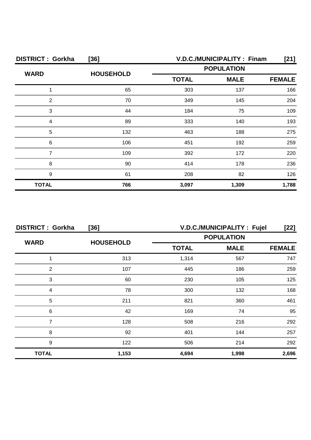| <b>DISTRICT: Gorkha</b> | $[36]$           | V.D.C./MUNICIPALITY: Finam<br>[21] |             |               |
|-------------------------|------------------|------------------------------------|-------------|---------------|
| <b>WARD</b>             | <b>HOUSEHOLD</b> | <b>POPULATION</b>                  |             |               |
|                         |                  | <b>TOTAL</b>                       | <b>MALE</b> | <b>FEMALE</b> |
|                         | 65               | 303                                | 137         | 166           |
| っ                       | 70               | 349                                | 145         | 204           |
| З                       | 44               | 184                                | 75          | 109           |
|                         | 89               | 333                                | 140         | 193           |
| 5                       | 132              | 463                                | 188         | 275           |
| 6                       | 106              | 451                                | 192         | 259           |
|                         | 109              | 392                                | 172         | 220           |
| 8                       | 90               | 414                                | 178         | 236           |
| 9                       | 61               | 208                                | 82          | 126           |
| <b>TOTAL</b>            | 766              | 3,097                              | 1,309       | 1,788         |

| <b>DISTRICT: Gorkha</b><br>$[36]$ |                  | V.D.C./MUNICIPALITY : Fujel<br>$[22]$ |             |               |
|-----------------------------------|------------------|---------------------------------------|-------------|---------------|
|                                   | <b>HOUSEHOLD</b> | <b>POPULATION</b>                     |             |               |
| <b>WARD</b>                       |                  | <b>TOTAL</b>                          | <b>MALE</b> | <b>FEMALE</b> |
|                                   | 313              | 1,314                                 | 567         | 747           |
| 2                                 | 107              | 445                                   | 186         | 259           |
| 3                                 | 60               | 230                                   | 105         | 125           |
| Δ                                 | 78               | 300                                   | 132         | 168           |
| 5                                 | 211              | 821                                   | 360         | 461           |
| 6                                 | 42               | 169                                   | 74          | 95            |
|                                   | 128              | 508                                   | 216         | 292           |
| 8                                 | 92               | 401                                   | 144         | 257           |
| 9                                 | 122              | 506                                   | 214         | 292           |
| <b>TOTAL</b>                      | 1,153            | 4,694                                 | 1,998       | 2,696         |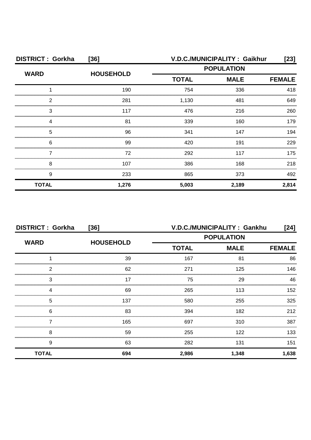| <b>DISTRICT: Gorkha</b> | $[36]$           | V.D.C./MUNICIPALITY: Gaikhur<br>[23]             |       |               |
|-------------------------|------------------|--------------------------------------------------|-------|---------------|
| <b>WARD</b>             | <b>HOUSEHOLD</b> | <b>POPULATION</b><br><b>TOTAL</b><br><b>MALE</b> |       |               |
|                         |                  |                                                  |       | <b>FEMALE</b> |
|                         | 190              | 754                                              | 336   | 418           |
| 2                       | 281              | 1,130                                            | 481   | 649           |
| З                       | 117              | 476                                              | 216   | 260           |
|                         | 81               | 339                                              | 160   | 179           |
| 5                       | 96               | 341                                              | 147   | 194           |
| 6                       | 99               | 420                                              | 191   | 229           |
|                         | 72               | 292                                              | 117   | 175           |
| 8                       | 107              | 386                                              | 168   | 218           |
| 9                       | 233              | 865                                              | 373   | 492           |
| <b>TOTAL</b>            | 1,276            | 5,003                                            | 2,189 | 2,814         |

| <b>DISTRICT: Gorkha</b><br>$[36]$ |                  | V.D.C./MUNICIPALITY: Gankhu<br>[24] |                              |       |  |
|-----------------------------------|------------------|-------------------------------------|------------------------------|-------|--|
| <b>WARD</b>                       | <b>HOUSEHOLD</b> | <b>POPULATION</b>                   |                              |       |  |
|                                   |                  | <b>TOTAL</b>                        | <b>MALE</b><br><b>FEMALE</b> |       |  |
|                                   | 39               | 167                                 | 81                           | 86    |  |
| 2                                 | 62               | 271                                 | 125                          | 146   |  |
| 3                                 | 17               | 75                                  | 29                           | 46    |  |
|                                   | 69               | 265                                 | 113                          | 152   |  |
| 5                                 | 137              | 580                                 | 255                          | 325   |  |
| 6                                 | 83               | 394                                 | 182                          | 212   |  |
|                                   | 165              | 697                                 | 310                          | 387   |  |
| 8                                 | 59               | 255                                 | 122                          | 133   |  |
| 9                                 | 63               | 282                                 | 131                          | 151   |  |
| <b>TOTAL</b>                      | 694              | 2,986                               | 1,348                        | 1,638 |  |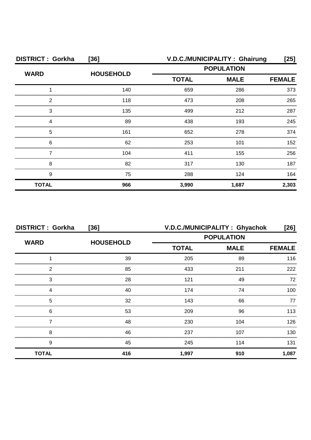| <b>DISTRICT: Gorkha</b> | $[36]$           |              | V.D.C./MUNICIPALITY: Ghairung | [25]          |
|-------------------------|------------------|--------------|-------------------------------|---------------|
| <b>WARD</b>             | <b>HOUSEHOLD</b> |              | <b>POPULATION</b>             |               |
|                         |                  | <b>TOTAL</b> | <b>MALE</b>                   | <b>FEMALE</b> |
|                         | 140              | 659          | 286                           | 373           |
| 2                       | 118              | 473          | 208                           | 265           |
| З                       | 135              | 499          | 212                           | 287           |
|                         | 89               | 438          | 193                           | 245           |
| 5                       | 161              | 652          | 278                           | 374           |
| 6                       | 62               | 253          | 101                           | 152           |
|                         | 104              | 411          | 155                           | 256           |
| 8                       | 82               | 317          | 130                           | 187           |
| 9                       | 75               | 288          | 124                           | 164           |
| <b>TOTAL</b>            | 966              | 3,990        | 1,687                         | 2,303         |

| <b>DISTRICT: Gorkha</b> | $[36]$           |                   | V.D.C./MUNICIPALITY: Ghyachok | [26]          |
|-------------------------|------------------|-------------------|-------------------------------|---------------|
| <b>WARD</b>             |                  | <b>POPULATION</b> |                               |               |
|                         | <b>HOUSEHOLD</b> | <b>TOTAL</b>      | <b>MALE</b>                   | <b>FEMALE</b> |
|                         | 39               | 205               | 89                            | 116           |
| 2                       | 85               | 433               | 211                           | 222           |
| 3                       | 28               | 121               | 49                            | 72            |
|                         | 40               | 174               | 74                            | 100           |
| 5                       | 32               | 143               | 66                            | 77            |
| 6                       | 53               | 209               | 96                            | 113           |
|                         | 48               | 230               | 104                           | 126           |
| 8                       | 46               | 237               | 107                           | 130           |
| 9                       | 45               | 245               | 114                           | 131           |
| <b>TOTAL</b>            | 416              | 1,997             | 910                           | 1,087         |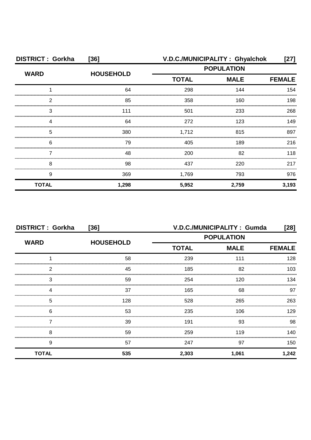| <b>DISTRICT: Gorkha</b> | $[36]$           | V.D.C./MUNICIPALITY: Ghyalchok |             | [27]          |
|-------------------------|------------------|--------------------------------|-------------|---------------|
| <b>WARD</b>             | <b>HOUSEHOLD</b> | <b>POPULATION</b>              |             |               |
|                         |                  | <b>TOTAL</b>                   | <b>MALE</b> | <b>FEMALE</b> |
|                         | 64               | 298                            | 144         | 154           |
| っ                       | 85               | 358                            | 160         | 198           |
| 3                       | 111              | 501                            | 233         | 268           |
|                         | 64               | 272                            | 123         | 149           |
| 5                       | 380              | 1,712                          | 815         | 897           |
| 6                       | 79               | 405                            | 189         | 216           |
|                         | 48               | 200                            | 82          | 118           |
| 8                       | 98               | 437                            | 220         | 217           |
| 9                       | 369              | 1,769                          | 793         | 976           |
| <b>TOTAL</b>            | 1,298            | 5,952                          | 2,759       | 3,193         |

| <b>DISTRICT: Gorkha</b> | $[36]$           | V.D.C./MUNICIPALITY: Gumda<br>$[28]$ |                   |               |
|-------------------------|------------------|--------------------------------------|-------------------|---------------|
|                         |                  |                                      | <b>POPULATION</b> |               |
| <b>WARD</b>             | <b>HOUSEHOLD</b> | <b>TOTAL</b>                         | <b>MALE</b>       | <b>FEMALE</b> |
|                         | 58               | 239                                  | 111               | 128           |
| 2                       | 45               | 185                                  | 82                | 103           |
| 3                       | 59               | 254                                  | 120               | 134           |
|                         | 37               | 165                                  | 68                | 97            |
| 5                       | 128              | 528                                  | 265               | 263           |
| 6                       | 53               | 235                                  | 106               | 129           |
|                         | 39               | 191                                  | 93                | 98            |
| 8                       | 59               | 259                                  | 119               | 140           |
| 9                       | 57               | 247                                  | 97                | 150           |
| <b>TOTAL</b>            | 535              | 2,303                                | 1,061             | 1,242         |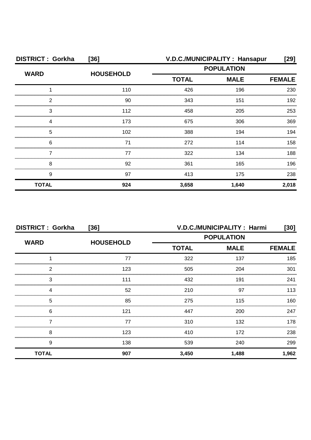| <b>DISTRICT: Gorkha</b> | $[36]$           |                   | V.D.C./MUNICIPALITY: Hansapur | [29]  |
|-------------------------|------------------|-------------------|-------------------------------|-------|
| <b>WARD</b>             | <b>HOUSEHOLD</b> | <b>POPULATION</b> |                               |       |
|                         |                  | <b>TOTAL</b>      | <b>MALE</b>                   |       |
|                         | 110              | 426               | 196                           | 230   |
| 2                       | 90               | 343               | 151                           | 192   |
| 3                       | 112              | 458               | 205                           | 253   |
|                         | 173              | 675               | 306                           | 369   |
| 5                       | 102              | 388               | 194                           | 194   |
| 6                       | 71               | 272               | 114                           | 158   |
|                         | 77               | 322               | 134                           | 188   |
| 8                       | 92               | 361               | 165                           | 196   |
| 9                       | 97               | 413               | 175                           | 238   |
| <b>TOTAL</b>            | 924              | 3,658             | 1,640                         | 2,018 |

| <b>DISTRICT: Gorkha</b><br>[36] |                  |              | V.D.C./MUNICIPALITY : Harmi<br>[30] |               |  |
|---------------------------------|------------------|--------------|-------------------------------------|---------------|--|
| <b>WARD</b>                     | <b>HOUSEHOLD</b> |              | <b>POPULATION</b>                   |               |  |
|                                 |                  | <b>TOTAL</b> | <b>MALE</b>                         | <b>FEMALE</b> |  |
|                                 | 77               | 322          | 137                                 | 185           |  |
| 2                               | 123              | 505          | 204                                 | 301           |  |
| 3                               | 111              | 432          | 191                                 | 241           |  |
|                                 | 52               | 210          | 97                                  | 113           |  |
| 5                               | 85               | 275          | 115                                 | 160           |  |
| 6                               | 121              | 447          | 200                                 | 247           |  |
|                                 | 77               | 310          | 132                                 | 178           |  |
| 8                               | 123              | 410          | 172                                 | 238           |  |
| 9                               | 138              | 539          | 240                                 | 299           |  |
| <b>TOTAL</b>                    | 907              | 3,450        | 1,488                               | 1,962         |  |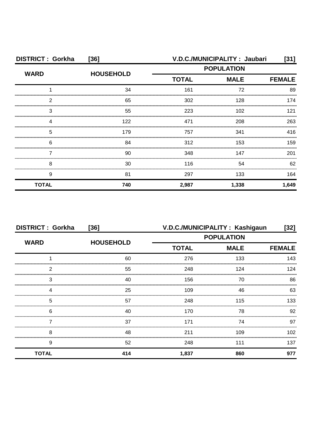| <b>DISTRICT: Gorkha</b> | $[36]$           |                   | V.D.C./MUNICIPALITY: Jaubari | $[31]$        |
|-------------------------|------------------|-------------------|------------------------------|---------------|
| <b>WARD</b>             | <b>HOUSEHOLD</b> | <b>POPULATION</b> |                              |               |
|                         |                  | <b>TOTAL</b>      | <b>MALE</b>                  | <b>FEMALE</b> |
|                         | 34               | 161               | 72                           | 89            |
| 2                       | 65               | 302               | 128                          | 174           |
| З                       | 55               | 223               | 102                          | 121           |
|                         | 122              | 471               | 208                          | 263           |
| 5                       | 179              | 757               | 341                          | 416           |
| 6                       | 84               | 312               | 153                          | 159           |
|                         | 90               | 348               | 147                          | 201           |
| 8                       | 30               | 116               | 54                           | 62            |
| 9                       | 81               | 297               | 133                          | 164           |
| <b>TOTAL</b>            | 740              | 2,987             | 1,338                        | 1,649         |

| <b>DISTRICT: Gorkha</b> | $[36]$           |                   | V.D.C./MUNICIPALITY: Kashigaun | [32]          |
|-------------------------|------------------|-------------------|--------------------------------|---------------|
|                         |                  | <b>POPULATION</b> |                                |               |
| <b>WARD</b>             | <b>HOUSEHOLD</b> | <b>TOTAL</b>      | <b>MALE</b>                    | <b>FEMALE</b> |
|                         | 60               | 276               | 133                            | 143           |
| 2                       | 55               | 248               | 124                            | 124           |
| 3                       | 40               | 156               | 70                             | 86            |
| 4                       | 25               | 109               | 46                             | 63            |
| 5                       | 57               | 248               | 115                            | 133           |
| 6                       | 40               | 170               | 78                             | 92            |
|                         | 37               | 171               | 74                             | 97            |
| 8                       | 48               | 211               | 109                            | 102           |
| 9                       | 52               | 248               | 111                            | 137           |
| <b>TOTAL</b>            | 414              | 1,837             | 860                            | 977           |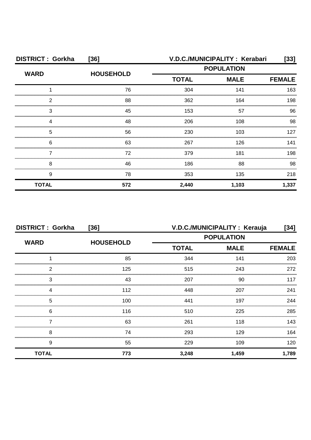| <b>DISTRICT: Gorkha</b> | $[36]$           |                             | V.D.C./MUNICIPALITY: Kerabari | [33]          |
|-------------------------|------------------|-----------------------------|-------------------------------|---------------|
| <b>WARD</b>             | <b>HOUSEHOLD</b> | <b>POPULATION</b>           |                               |               |
|                         |                  | <b>TOTAL</b><br><b>MALE</b> |                               | <b>FEMALE</b> |
|                         | 76               | 304                         | 141                           | 163           |
| 2                       | 88               | 362                         | 164                           | 198           |
| З                       | 45               | 153                         | 57                            | 96            |
|                         | 48               | 206                         | 108                           | 98            |
| 5                       | 56               | 230                         | 103                           | 127           |
| 6                       | 63               | 267                         | 126                           | 141           |
|                         | 72               | 379                         | 181                           | 198           |
| 8                       | 46               | 186                         | 88                            | 98            |
| 9                       | 78               | 353                         | 135                           | 218           |
| <b>TOTAL</b>            | 572              | 2,440                       | 1,103                         | 1,337         |

| <b>DISTRICT: Gorkha</b> | $[36]$           | V.D.C./MUNICIPALITY: Kerauja<br>[34] |                   |               |
|-------------------------|------------------|--------------------------------------|-------------------|---------------|
|                         |                  |                                      | <b>POPULATION</b> |               |
| <b>WARD</b>             | <b>HOUSEHOLD</b> | <b>TOTAL</b>                         | <b>MALE</b>       | <b>FEMALE</b> |
|                         | 85               | 344                                  | 141               | 203           |
| 2                       | 125              | 515                                  | 243               | 272           |
| 3                       | 43               | 207                                  | 90                | 117           |
| Δ                       | 112              | 448                                  | 207               | 241           |
| 5                       | 100              | 441                                  | 197               | 244           |
| 6                       | 116              | 510                                  | 225               | 285           |
|                         | 63               | 261                                  | 118               | 143           |
| 8                       | 74               | 293                                  | 129               | 164           |
| 9                       | 55               | 229                                  | 109               | 120           |
| <b>TOTAL</b>            | 773              | 3,248                                | 1,459             | 1,789         |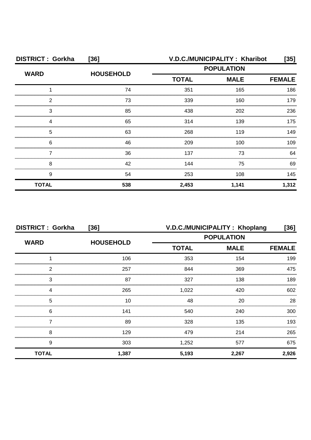| <b>DISTRICT: Gorkha</b> | $[36]$           | V.D.C./MUNICIPALITY: Kharibot<br>[35] |       |               |
|-------------------------|------------------|---------------------------------------|-------|---------------|
| <b>WARD</b>             | <b>HOUSEHOLD</b> | <b>POPULATION</b>                     |       |               |
|                         |                  | <b>TOTAL</b><br><b>MALE</b>           |       | <b>FEMALE</b> |
|                         | 74               | 351                                   | 165   | 186           |
| 2                       | 73               | 339                                   | 160   | 179           |
| З                       | 85               | 438                                   | 202   | 236           |
|                         | 65               | 314                                   | 139   | 175           |
| 5                       | 63               | 268                                   | 119   | 149           |
| 6                       | 46               | 209                                   | 100   | 109           |
|                         | 36               | 137                                   | 73    | 64            |
| 8                       | 42               | 144                                   | 75    | 69            |
| 9                       | 54               | 253                                   | 108   | 145           |
| <b>TOTAL</b>            | 538              | 2,453                                 | 1,141 | 1,312         |

| <b>DISTRICT: Gorkha</b><br>$[36]$ |                  | V.D.C./MUNICIPALITY: Khoplang<br>[36] |             |               |
|-----------------------------------|------------------|---------------------------------------|-------------|---------------|
| <b>WARD</b>                       |                  | <b>POPULATION</b>                     |             |               |
|                                   | <b>HOUSEHOLD</b> | <b>TOTAL</b>                          | <b>MALE</b> | <b>FEMALE</b> |
|                                   | 106              | 353                                   | 154         | 199           |
| っ                                 | 257              | 844                                   | 369         | 475           |
| 3                                 | 87               | 327                                   | 138         | 189           |
|                                   | 265              | 1,022                                 | 420         | 602           |
| 5                                 | 10               | 48                                    | 20          | 28            |
| 6                                 | 141              | 540                                   | 240         | 300           |
|                                   | 89               | 328                                   | 135         | 193           |
| 8                                 | 129              | 479                                   | 214         | 265           |
| 9                                 | 303              | 1,252                                 | 577         | 675           |
| <b>TOTAL</b>                      | 1,387            | 5,193                                 | 2,267       | 2,926         |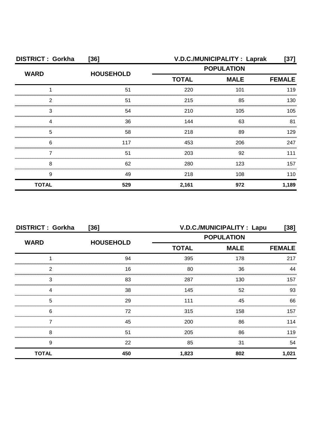| <b>DISTRICT: Gorkha</b> | $[36]$           |                   | V.D.C./MUNICIPALITY : Laprak | $[37]$ |
|-------------------------|------------------|-------------------|------------------------------|--------|
| <b>WARD</b>             | <b>HOUSEHOLD</b> | <b>POPULATION</b> |                              |        |
|                         |                  | <b>TOTAL</b>      | <b>FEMALE</b>                |        |
|                         | 51               | 220               | 101                          | 119    |
| っ                       | 51               | 215               | 85                           | 130    |
| 3                       | 54               | 210               | 105                          | 105    |
|                         | 36               | 144               | 63                           | 81     |
| 5                       | 58               | 218               | 89                           | 129    |
| 6                       | 117              | 453               | 206                          | 247    |
|                         | 51               | 203               | 92                           | 111    |
| 8                       | 62               | 280               | 123                          | 157    |
| 9                       | 49               | 218               | 108                          | 110    |
| <b>TOTAL</b>            | 529              | 2,161             | 972                          | 1,189  |

| <b>DISTRICT: Gorkha</b> | $[36]$           |                   | V.D.C./MUNICIPALITY : Lapu | [38]          |
|-------------------------|------------------|-------------------|----------------------------|---------------|
|                         |                  | <b>POPULATION</b> |                            |               |
| <b>WARD</b>             | <b>HOUSEHOLD</b> | <b>TOTAL</b>      | <b>MALE</b>                | <b>FEMALE</b> |
|                         | 94               | 395               | 178                        | 217           |
| 2                       | 16               | 80                | 36                         |               |
| 3                       | 83               | 287               | 130                        | 157           |
|                         | 38               | 145               | 52                         | 93            |
| 5                       | 29               | 111               | 45                         | 66            |
| 6                       | 72               | 315               | 158                        | 157           |
|                         | 45               | 200               | 86                         | 114           |
| 8                       | 51               | 205               | 86                         | 119           |
| 9                       | 22               | 85                | 31                         | 54            |
| <b>TOTAL</b>            | 450              | 1,823             | 802                        | 1,021         |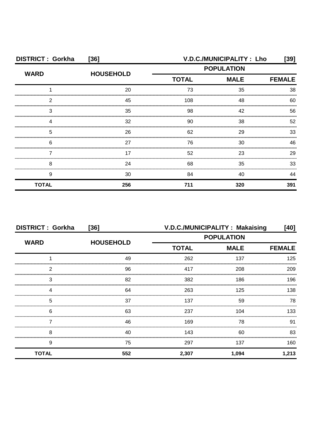| <b>DISTRICT: Gorkha</b> | $[36]$           |                                                  | V.D.C./MUNICIPALITY: Lho | [39]          |
|-------------------------|------------------|--------------------------------------------------|--------------------------|---------------|
| <b>WARD</b>             | <b>HOUSEHOLD</b> | <b>POPULATION</b><br><b>TOTAL</b><br><b>MALE</b> |                          |               |
|                         |                  |                                                  |                          | <b>FEMALE</b> |
|                         | 20               | 73                                               | 35                       | 38            |
| っ                       | 45               | 108                                              | 48                       | 60            |
| 3                       | 35               | 98                                               | 42                       | 56            |
|                         | 32               | 90                                               | 38                       | 52            |
| 5                       | 26               | 62                                               | 29                       | 33            |
| 6                       | 27               | 76                                               | 30                       | 46            |
|                         | 17               | 52                                               | 23                       | 29            |
| 8                       | 24               | 68                                               | 35                       | 33            |
| 9                       | 30               | 84                                               | 40                       | 44            |
| <b>TOTAL</b>            | 256              | 711                                              | 320                      | 391           |

| <b>DISTRICT: Gorkha</b> | $[36]$           |                   | V.D.C./MUNICIPALITY: Makaising | [40]          |
|-------------------------|------------------|-------------------|--------------------------------|---------------|
|                         |                  | <b>POPULATION</b> |                                |               |
| <b>WARD</b>             | <b>HOUSEHOLD</b> | <b>TOTAL</b>      | <b>MALE</b>                    | <b>FEMALE</b> |
|                         | 49               | 262               | 137                            | 125           |
| 2                       | 96               | 417               | 208                            | 209           |
| 3                       | 82               | 382               | 186                            | 196           |
| 4                       | 64               | 263               | 125                            | 138           |
| 5                       | 37               | 137               | 59                             | 78            |
| 6                       | 63               | 237               | 104                            | 133           |
|                         | 46               | 169               | 78                             | 91            |
| 8                       | 40               | 143               | 60                             | 83            |
| 9                       | 75               | 297               | 137                            | 160           |
| <b>TOTAL</b>            | 552              | 2,307             | 1,094                          | 1,213         |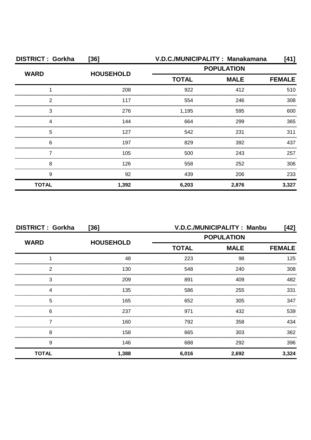| <b>DISTRICT: Gorkha</b> | $[36]$           |              | V.D.C./MUNICIPALITY: Manakamana | [41]          |
|-------------------------|------------------|--------------|---------------------------------|---------------|
| <b>WARD</b>             | <b>HOUSEHOLD</b> |              | <b>POPULATION</b>               |               |
|                         |                  | <b>TOTAL</b> | <b>MALE</b>                     | <b>FEMALE</b> |
|                         | 208              | 922          | 412                             | 510           |
| 2                       | 117              | 554          | 246                             | 308           |
| 3                       | 276              | 1,195        | 595                             | 600           |
|                         | 144              | 664          | 299                             | 365           |
| 5                       | 127              | 542          | 231                             | 311           |
| 6                       | 197              | 829          | 392                             | 437           |
|                         | 105              | 500          | 243                             | 257           |
| 8                       | 126              | 558          | 252                             | 306           |
| 9                       | 92               | 439          | 206                             | 233           |
| <b>TOTAL</b>            | 1,392            | 6,203        | 2,876                           | 3,327         |

| <b>DISTRICT: Gorkha</b><br>$[36]$ |                  | V.D.C./MUNICIPALITY: Manbu<br>[42] |       |               |
|-----------------------------------|------------------|------------------------------------|-------|---------------|
| <b>WARD</b>                       | <b>HOUSEHOLD</b> | <b>POPULATION</b>                  |       |               |
|                                   |                  | <b>TOTAL</b><br><b>MALE</b>        |       | <b>FEMALE</b> |
|                                   | 48               | 223                                | 98    | 125           |
| 2                                 | 130              | 548                                | 240   | 308           |
| 3                                 | 209              | 891                                | 409   | 482           |
|                                   | 135              | 586                                | 255   | 331           |
| 5                                 | 165              | 652                                | 305   | 347           |
| 6                                 | 237              | 971                                | 432   | 539           |
|                                   | 160              | 792                                | 358   | 434           |
| 8                                 | 158              | 665                                | 303   | 362           |
| 9                                 | 146              | 688                                | 292   | 396           |
| <b>TOTAL</b>                      | 1,388            | 6,016                              | 2,692 | 3,324         |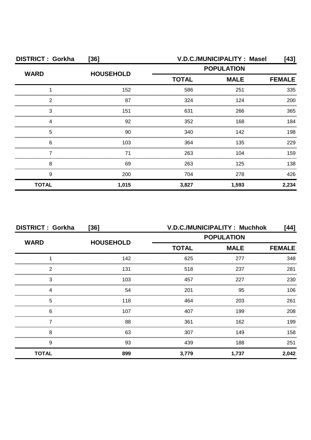| <b>DISTRICT: Gorkha</b> | $[36]$           |                                                  | V.D.C./MUNICIPALITY : Masel | [43]          |
|-------------------------|------------------|--------------------------------------------------|-----------------------------|---------------|
| <b>WARD</b>             | <b>HOUSEHOLD</b> | <b>POPULATION</b><br><b>TOTAL</b><br><b>MALE</b> |                             |               |
|                         |                  |                                                  |                             | <b>FEMALE</b> |
|                         | 152              | 586                                              | 251                         | 335           |
| 2                       | 87               | 324                                              | 124                         | 200           |
| 3                       | 151              | 631                                              | 266                         | 365           |
|                         | 92               | 352                                              | 168                         | 184           |
| 5                       | 90               | 340                                              | 142                         | 198           |
| 6                       | 103              | 364                                              | 135                         | 229           |
|                         | 71               | 263                                              | 104                         | 159           |
| 8                       | 69               | 263                                              | 125                         | 138           |
| 9                       | 200              | 704                                              | 278                         | 426           |
| <b>TOTAL</b>            | 1,015            | 3,827                                            | 1,593                       | 2,234         |

| <b>DISTRICT: Gorkha</b> | $[36]$           | V.D.C./MUNICIPALITY: Muchhok<br>[44] |             |               |
|-------------------------|------------------|--------------------------------------|-------------|---------------|
|                         |                  | <b>POPULATION</b>                    |             |               |
| <b>WARD</b>             | <b>HOUSEHOLD</b> | <b>TOTAL</b>                         | <b>MALE</b> | <b>FEMALE</b> |
|                         | 142              | 625                                  | 277         | 348           |
| 2                       | 131              | 518                                  | 237         | 281           |
| 3                       | 103              | 457                                  | 227         | 230           |
| Δ                       | 54               | 201                                  | 95          | 106           |
| 5                       | 118              | 464                                  | 203         | 261           |
| 6                       | 107              | 407                                  | 199         | 208           |
|                         | 88               | 361                                  | 162         | 199           |
| 8                       | 63               | 307                                  | 149         | 158           |
| 9                       | 93               | 439                                  | 188         | 251           |
| <b>TOTAL</b>            | 899              | 3,779                                | 1,737       | 2,042         |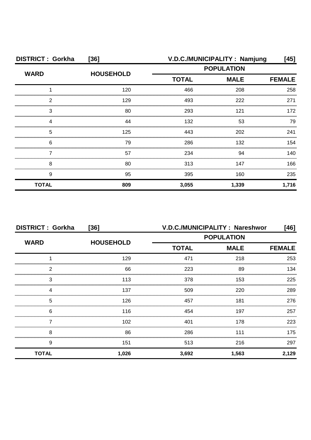| <b>DISTRICT: Gorkha</b> | $[36]$           | V.D.C./MUNICIPALITY: Namjung<br>[45] |       |               |
|-------------------------|------------------|--------------------------------------|-------|---------------|
| <b>WARD</b>             | <b>HOUSEHOLD</b> | <b>POPULATION</b>                    |       |               |
|                         |                  | <b>TOTAL</b><br><b>MALE</b>          |       | <b>FEMALE</b> |
|                         | 120              | 466                                  | 208   | 258           |
| 2                       | 129              | 493                                  | 222   | 271           |
| 3                       | 80               | 293                                  | 121   | 172           |
|                         | 44               | 132                                  | 53    | 79            |
| 5                       | 125              | 443                                  | 202   | 241           |
| 6                       | 79               | 286                                  | 132   | 154           |
|                         | 57               | 234                                  | 94    | 140           |
| 8                       | 80               | 313                                  | 147   | 166           |
| 9                       | 95               | 395                                  | 160   | 235           |
| <b>TOTAL</b>            | 809              | 3,055                                | 1,339 | 1,716         |

| <b>DISTRICT: Gorkha</b> | $[36]$           |              | V.D.C./MUNICIPALITY: Nareshwor | [46]          |
|-------------------------|------------------|--------------|--------------------------------|---------------|
| <b>WARD</b>             |                  |              | <b>POPULATION</b>              |               |
|                         | <b>HOUSEHOLD</b> | <b>TOTAL</b> | <b>MALE</b>                    | <b>FEMALE</b> |
|                         | 129              | 471          | 218                            | 253           |
| 2                       | 66               | 223          | 89                             | 134           |
| 3                       | 113              | 378          | 153                            | 225           |
| 4                       | 137              | 509          | 220                            | 289           |
| 5                       | 126              | 457          | 181                            | 276           |
| 6                       | 116              | 454          | 197                            | 257           |
|                         | 102              | 401          | 178                            | 223           |
| 8                       | 86               | 286          | 111                            | 175           |
| 9                       | 151              | 513          | 216                            | 297           |
| <b>TOTAL</b>            | 1,026            | 3,692        | 1,563                          | 2,129         |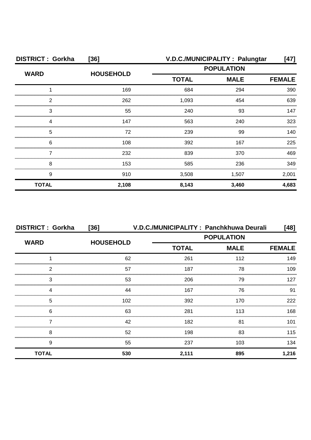| <b>DISTRICT: Gorkha</b> | $[36]$           |                             | V.D.C./MUNICIPALITY: Palungtar | [47]          |
|-------------------------|------------------|-----------------------------|--------------------------------|---------------|
| <b>WARD</b>             | <b>HOUSEHOLD</b> |                             | <b>POPULATION</b>              |               |
|                         |                  | <b>TOTAL</b><br><b>MALE</b> |                                | <b>FEMALE</b> |
|                         | 169              | 684                         | 294                            | 390           |
| າ                       | 262              | 1,093                       | 454                            | 639           |
| 3                       | 55               | 240                         | 93                             | 147           |
|                         | 147              | 563                         | 240                            | 323           |
| 5                       | 72               | 239                         | 99                             | 140           |
| 6                       | 108              | 392                         | 167                            | 225           |
|                         | 232              | 839                         | 370                            | 469           |
| 8                       | 153              | 585                         | 236                            | 349           |
| 9                       | 910              | 3,508                       | 1,507                          | 2,001         |
| <b>TOTAL</b>            | 2,108            | 8,143                       | 3,460                          | 4,683         |

| <b>DISTRICT: Gorkha</b> | $[36]$           | V.D.C./MUNICIPALITY: Panchkhuwa Deurali |                   | [48]          |  |
|-------------------------|------------------|-----------------------------------------|-------------------|---------------|--|
| <b>WARD</b>             | <b>HOUSEHOLD</b> |                                         | <b>POPULATION</b> |               |  |
|                         |                  | <b>TOTAL</b>                            | <b>MALE</b>       | <b>FEMALE</b> |  |
|                         | 62               | 261                                     | 112               | 149           |  |
| っ                       | 57               | 187                                     | 78                | 109           |  |
| 3                       | 53               | 206                                     | 79                | 127           |  |
|                         | 44               | 167                                     | 76                | 91            |  |
| 5                       | 102              | 392                                     | 170               | 222           |  |
| 6                       | 63               | 281                                     | 113               | 168           |  |
|                         | 42               | 182                                     | 81                | 101           |  |
| 8                       | 52               | 198                                     | 83                | 115           |  |
| 9                       | 55               | 237                                     | 103               | 134           |  |
| <b>TOTAL</b>            | 530              | 2,111                                   | 895               | 1,216         |  |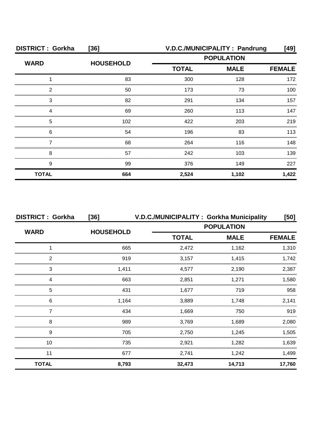| <b>DISTRICT: Gorkha</b> | $[36]$           |                             | V.D.C./MUNICIPALITY: Pandrung | [49]          |
|-------------------------|------------------|-----------------------------|-------------------------------|---------------|
| <b>WARD</b>             | <b>HOUSEHOLD</b> | <b>POPULATION</b>           |                               |               |
|                         |                  | <b>TOTAL</b><br><b>MALE</b> |                               | <b>FEMALE</b> |
|                         | 83               | 300                         | 128                           | 172           |
| っ                       | 50               | 173                         | 73                            | 100           |
| 3                       | 82               | 291                         | 134                           | 157           |
|                         | 69               | 260                         | 113                           | 147           |
| 5                       | 102              | 422                         | 203                           | 219           |
| 6                       | 54               | 196                         | 83                            | 113           |
|                         | 68               | 264                         | 116                           | 148           |
| 8                       | 57               | 242                         | 103                           | 139           |
| 9                       | 99               | 376                         | 149                           | 227           |
| <b>TOTAL</b>            | 664              | 2,524                       | 1,102                         | 1,422         |

| <b>DISTRICT: Gorkha</b> | $[36]$           |                   | V.D.C./MUNICIPALITY: Gorkha Municipality | [50]          |
|-------------------------|------------------|-------------------|------------------------------------------|---------------|
| <b>WARD</b>             | <b>HOUSEHOLD</b> | <b>POPULATION</b> |                                          |               |
|                         |                  | <b>TOTAL</b>      | <b>MALE</b>                              | <b>FEMALE</b> |
|                         | 665              | 2,472             | 1,162                                    | 1,310         |
| 2                       | 919              | 3,157             | 1,415                                    | 1,742         |
| 3                       | 1,411            | 4,577             | 2,190                                    | 2,387         |
|                         | 663              | 2,851             | 1,271                                    | 1,580         |
| 5                       | 431              | 1,677             | 719                                      | 958           |
| 6                       | 1,164            | 3,889             | 1,748                                    | 2,141         |
|                         | 434              | 1.669             | 750                                      | 919           |
| 8                       | 989              | 3,769             | 1,689                                    | 2,080         |
| 9                       | 705              | 2,750             | 1,245                                    | 1,505         |
| 10                      | 735              | 2,921             | 1,282                                    | 1,639         |
| 11                      | 677              | 2,741             | 1,242                                    | 1,499         |
| <b>TOTAL</b>            | 8,793            | 32,473            | 14,713                                   | 17,760        |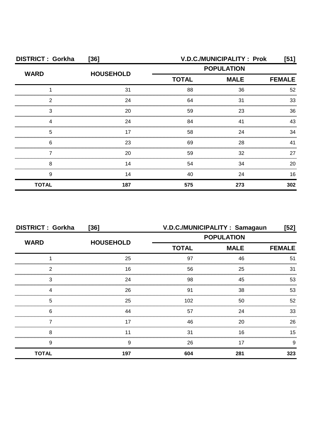| <b>DISTRICT: Gorkha</b> | $[36]$           |                   | V.D.C./MUNICIPALITY: Prok | [51]          |
|-------------------------|------------------|-------------------|---------------------------|---------------|
| <b>WARD</b>             | <b>HOUSEHOLD</b> | <b>POPULATION</b> |                           |               |
|                         |                  | <b>TOTAL</b>      | <b>MALE</b>               | <b>FEMALE</b> |
|                         | 31               | 88                | 36                        | 52            |
| 2                       | 24               | 64                | 31                        | 33            |
| 3                       | 20               | 59                | 23                        | 36            |
|                         | 24               | 84                | 41                        | 43            |
| 5                       | 17               | 58                | 24                        | 34            |
| 6                       | 23               | 69                | 28                        | 41            |
|                         | 20               | 59                | 32                        | 27            |
| 8                       | 14               | 54                | 34                        | 20            |
| 9                       | 14               | 40                | 24                        | 16            |
| <b>TOTAL</b>            | 187              | 575               | 273                       | 302           |

| <b>DISTRICT: Gorkha</b> | $[36]$           |              | V.D.C./MUNICIPALITY: Samagaun | $[52]$        |
|-------------------------|------------------|--------------|-------------------------------|---------------|
| <b>WARD</b>             |                  |              | <b>POPULATION</b>             |               |
|                         | <b>HOUSEHOLD</b> | <b>TOTAL</b> | <b>MALE</b>                   | <b>FEMALE</b> |
|                         | 25               | 97           | 46                            | 51            |
| 2                       | 16               | 56           | 25                            | 31            |
| 3                       | 24               | 98           | 45                            | 53            |
|                         | 26               | 91           | 38                            | 53            |
| 5                       | 25               | 102          | 50                            | 52            |
| 6                       | 44               | 57           | 24                            | 33            |
|                         | 17               | 46           | 20                            | 26            |
| 8                       |                  | 31           | 16                            | 15            |
| 9                       | 9                | 26           | 17                            | 9             |
| <b>TOTAL</b>            | 197              | 604          | 281                           | 323           |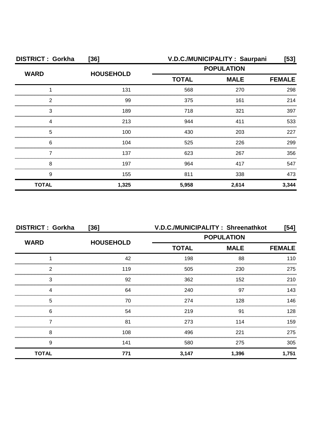| <b>DISTRICT: Gorkha</b> | $[36]$           |                   | V.D.C./MUNICIPALITY: Saurpani | [53]  |
|-------------------------|------------------|-------------------|-------------------------------|-------|
| <b>WARD</b>             | <b>HOUSEHOLD</b> | <b>POPULATION</b> |                               |       |
|                         |                  | <b>TOTAL</b>      | <b>FEMALE</b>                 |       |
|                         | 131              | 568               | 270                           | 298   |
| 2                       | 99               | 375               | 161                           | 214   |
| 3                       | 189              | 718               | 321                           | 397   |
|                         | 213              | 944               | 411                           | 533   |
| 5                       | 100              | 430               | 203                           | 227   |
| 6                       | 104              | 525               | 226                           | 299   |
|                         | 137              | 623               | 267                           | 356   |
| 8                       | 197              | 964               | 417                           | 547   |
| 9                       | 155              | 811               | 338                           | 473   |
| <b>TOTAL</b>            | 1,325            | 5,958             | 2,614                         | 3,344 |

| <b>DISTRICT: Gorkha</b> | $[36]$           |              | V.D.C./MUNICIPALITY: Shreenathkot | $[54]$        |
|-------------------------|------------------|--------------|-----------------------------------|---------------|
| <b>WARD</b>             | <b>HOUSEHOLD</b> |              | <b>POPULATION</b>                 |               |
|                         |                  | <b>TOTAL</b> | <b>MALE</b>                       | <b>FEMALE</b> |
|                         | 42               | 198          | 88                                | 110           |
| 2                       | 119              | 505          | 230                               | 275           |
| 3                       | 92               | 362          | 152                               | 210           |
| Δ                       | 64               | 240          | 97                                | 143           |
| 5                       | 70               | 274          | 128                               | 146           |
| 6                       | 54               | 219          | .91                               | 128           |
|                         | 81               | 273          | 114                               | 159           |
| 8                       | 108              | 496          | 221                               | 275           |
| 9                       | 141              | 580          | 275                               | 305           |
| <b>TOTAL</b>            | 771              | 3,147        | 1,396                             | 1,751         |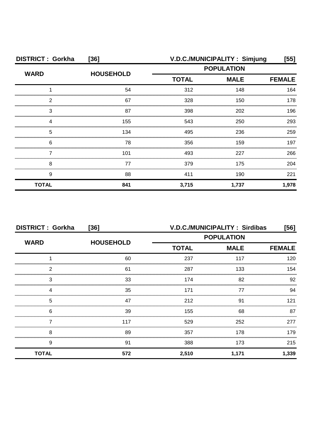| <b>DISTRICT: Gorkha</b> | $[36]$           |                                                  | V.D.C./MUNICIPALITY: Simjung | [55]          |
|-------------------------|------------------|--------------------------------------------------|------------------------------|---------------|
| <b>WARD</b>             | <b>HOUSEHOLD</b> | <b>POPULATION</b><br><b>TOTAL</b><br><b>MALE</b> |                              |               |
|                         |                  |                                                  |                              | <b>FEMALE</b> |
|                         | 54               | 312                                              | 148                          | 164           |
| っ                       | 67               | 328                                              | 150                          | 178           |
| З                       | 87               | 398                                              | 202                          | 196           |
|                         | 155              | 543                                              | 250                          | 293           |
| 5                       | 134              | 495                                              | 236                          | 259           |
| 6                       | 78               | 356                                              | 159                          | 197           |
|                         | 101              | 493                                              | 227                          | 266           |
| 8                       | 77               | 379                                              | 175                          | 204           |
| 9                       | 88               | 411                                              | 190                          | 221           |
| <b>TOTAL</b>            | 841              | 3,715                                            | 1,737                        | 1,978         |

| <b>DISTRICT: Gorkha</b> | $[36]$           |              | <b>V.D.C./MUNICIPALITY: Sirdibas</b> | [56]          |
|-------------------------|------------------|--------------|--------------------------------------|---------------|
|                         |                  |              | <b>POPULATION</b>                    |               |
| <b>WARD</b>             | <b>HOUSEHOLD</b> | <b>TOTAL</b> | <b>MALE</b>                          | <b>FEMALE</b> |
|                         | 60               | 237          | 117                                  | 120           |
| 2                       | 61               | 287          | 133                                  | 154           |
| 3                       | 33               | 174          | 82                                   | 92            |
|                         | 35               | 171          | 77                                   | 94            |
| 5                       | 47               | 212          | .91                                  | 121           |
| 6                       | 39               | 155          | 68                                   | 87            |
|                         | 117              | 529          | 252                                  | 277           |
| 8                       | 89               | 357          | 178                                  | 179           |
| 9                       | 91               | 388          | 173                                  | 215           |
| <b>TOTAL</b>            | 572              | 2,510        | 1,171                                | 1,339         |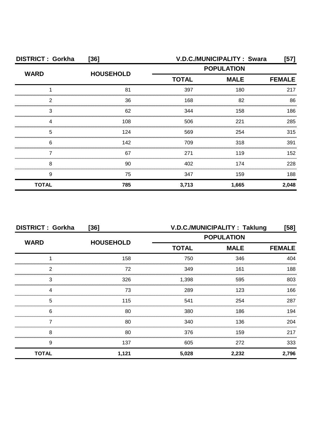| <b>DISTRICT: Gorkha</b> | $[36]$           |                   | V.D.C./MUNICIPALITY: Swara | [57]          |
|-------------------------|------------------|-------------------|----------------------------|---------------|
| <b>WARD</b>             | <b>HOUSEHOLD</b> | <b>POPULATION</b> |                            |               |
|                         |                  | <b>TOTAL</b>      | <b>MALE</b>                | <b>FEMALE</b> |
|                         | 81               | 397               | 180                        | 217           |
| っ                       | 36               | 168               | 82                         | 86            |
| З                       | 62               | 344               | 158                        | 186           |
|                         | 108              | 506               | 221                        | 285           |
| 5                       | 124              | 569               | 254                        | 315           |
| 6                       | 142              | 709               | 318                        | 391           |
|                         | 67               | 271               | 119                        | 152           |
| 8                       | 90               | 402               | 174                        | 228           |
| 9                       | 75               | 347               | 159                        | 188           |
| <b>TOTAL</b>            | 785              | 3,713             | 1,665                      | 2,048         |

| <b>DISTRICT: Gorkha</b><br>$[36]$ |                  | V.D.C./MUNICIPALITY: Taklung<br>[58] |                   |               |
|-----------------------------------|------------------|--------------------------------------|-------------------|---------------|
| <b>WARD</b>                       |                  |                                      | <b>POPULATION</b> |               |
|                                   | <b>HOUSEHOLD</b> | <b>TOTAL</b><br><b>MALE</b>          |                   | <b>FEMALE</b> |
|                                   | 158              | 750                                  | 346               | 404           |
| っ                                 | 72               | 349                                  | 161               | 188           |
| 3                                 | 326              | 1,398                                | 595               | 803           |
|                                   | 73               | 289                                  | 123               | 166           |
| 5                                 | 115              | 541                                  | 254               | 287           |
| 6                                 | 80               | 380                                  | 186               | 194           |
|                                   | 80               | 340                                  | 136               | 204           |
| 8                                 | 80               | 376                                  | 159               | 217           |
| 9                                 | 137              | 605                                  | 272               | 333           |
| <b>TOTAL</b>                      | 1,121            | 5,028                                | 2,232             | 2,796         |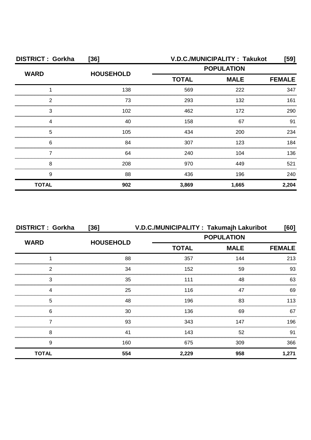| <b>DISTRICT: Gorkha</b> | $[36]$           | V.D.C./MUNICIPALITY: Takukot<br>[59]             |       |               |
|-------------------------|------------------|--------------------------------------------------|-------|---------------|
| <b>WARD</b>             | <b>HOUSEHOLD</b> | <b>POPULATION</b><br><b>TOTAL</b><br><b>MALE</b> |       |               |
|                         |                  |                                                  |       | <b>FEMALE</b> |
|                         | 138              | 569                                              | 222   | 347           |
| 2                       | 73               | 293                                              | 132   | 161           |
| З                       | 102              | 462                                              | 172   | 290           |
|                         | 40               | 158                                              | 67    | 91            |
| 5                       | 105              | 434                                              | 200   | 234           |
| 6                       | 84               | 307                                              | 123   | 184           |
|                         | 64               | 240                                              | 104   | 136           |
| 8                       | 208              | 970                                              | 449   | 521           |
| 9                       | 88               | 436                                              | 196   | 240           |
| <b>TOTAL</b>            | 902              | 3,869                                            | 1,665 | 2,204         |

| <b>DISTRICT: Gorkha</b> | $[36]$           |              | V.D.C./MUNICIPALITY: Takumajh Lakuribot | [60]          |
|-------------------------|------------------|--------------|-----------------------------------------|---------------|
| <b>WARD</b>             | <b>HOUSEHOLD</b> |              | <b>POPULATION</b>                       |               |
|                         |                  | <b>TOTAL</b> | <b>MALE</b>                             | <b>FEMALE</b> |
|                         | 88               | 357          | 144                                     | 213           |
| っ                       | 34               | 152          | 59                                      | 93            |
| 3                       | 35               | 111          | 48                                      | 63            |
|                         | 25               | 116          | 47                                      | 69            |
| 5                       | 48               | 196          | 83                                      | 113           |
| 6                       | 30               | 136          | 69                                      | 67            |
|                         | 93               | 343          | 147                                     | 196           |
| 8                       | 41               | 143          | 52                                      | 91            |
| 9                       | 160              | 675          | 309                                     | 366           |
| <b>TOTAL</b>            | 554              | 2,229        | 958                                     | 1,271         |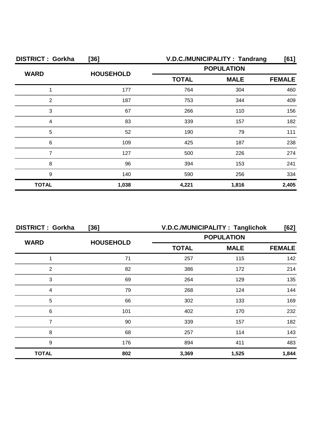| <b>DISTRICT: Gorkha</b> | $[36]$           | V.D.C./MUNICIPALITY: Tandrang |             |               |  |
|-------------------------|------------------|-------------------------------|-------------|---------------|--|
| <b>WARD</b>             |                  | <b>POPULATION</b>             |             |               |  |
|                         | <b>HOUSEHOLD</b> | <b>TOTAL</b>                  | <b>MALE</b> | <b>FEMALE</b> |  |
|                         | 177              | 764                           | 304         | 460           |  |
| 2                       | 187              | 753                           | 344         | 409           |  |
| З                       | 67               | 266                           | 110         | 156           |  |
|                         | 83               | 339                           | 157         | 182           |  |
| 5                       | 52               | 190                           | 79          | 111           |  |
| 6                       | 109              | 425                           | 187         | 238           |  |
|                         | 127              | 500                           | 226         | 274           |  |
| 8                       | 96               | 394                           | 153         | 241           |  |
| 9                       | 140              | 590                           | 256         | 334           |  |
| <b>TOTAL</b>            | 1,038            | 4,221                         | 1,816       | 2,405         |  |

| <b>DISTRICT: Gorkha</b> | $[36]$           | V.D.C./MUNICIPALITY: Tanglichok |               | [62]  |
|-------------------------|------------------|---------------------------------|---------------|-------|
| <b>WARD</b>             |                  | <b>POPULATION</b>               |               |       |
|                         | <b>HOUSEHOLD</b> | <b>TOTAL</b><br><b>MALE</b>     | <b>FEMALE</b> |       |
|                         | 71               | 257                             | 115           | 142   |
| 2                       | 82               | 386                             | 172           | 214   |
| 3                       | 69               | 264                             | 129           | 135   |
| Δ                       | 79               | 268                             | 124           | 144   |
| 5                       | 66               | 302                             | 133           | 169   |
| 6                       | 101              | 402                             | 170           | 232   |
|                         | 90               | 339                             | 157           | 182   |
| 8                       | 68               | 257                             | 114           | 143   |
| 9                       | 176              | 894                             | 411           | 483   |
| <b>TOTAL</b>            | 802              | 3,369                           | 1,525         | 1,844 |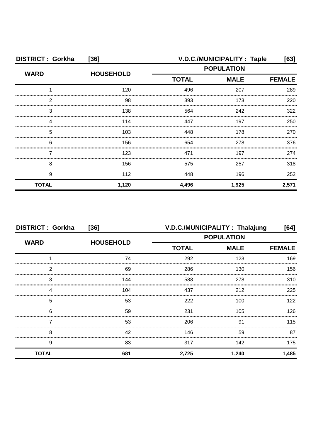| <b>DISTRICT: Gorkha</b> | $[36]$           |                   | V.D.C./MUNICIPALITY: Taple |               |
|-------------------------|------------------|-------------------|----------------------------|---------------|
|                         |                  | <b>POPULATION</b> |                            |               |
| <b>WARD</b>             | <b>HOUSEHOLD</b> | <b>TOTAL</b>      | <b>MALE</b>                | <b>FEMALE</b> |
|                         | 120              | 496               | 207                        | 289           |
| 2                       | 98               | 393               | 173                        | 220           |
| 3                       | 138              | 564               | 242                        | 322           |
|                         | 114              | 447               | 197                        | 250           |
| 5                       | 103              | 448               | 178                        | 270           |
| 6                       | 156              | 654               | 278                        | 376           |
|                         | 123              | 471               | 197                        | 274           |
| 8                       | 156              | 575               | 257                        | 318           |
| 9                       | 112              | 448               | 196                        | 252           |
| <b>TOTAL</b>            | 1,120            | 4,496             | 1,925                      | 2,571         |

| <b>DISTRICT: Gorkha</b> | $[36]$           |                   | V.D.C./MUNICIPALITY: Thalajung | [64]          |
|-------------------------|------------------|-------------------|--------------------------------|---------------|
|                         |                  | <b>POPULATION</b> |                                |               |
| <b>WARD</b>             | <b>HOUSEHOLD</b> | <b>TOTAL</b>      | <b>MALE</b>                    | <b>FEMALE</b> |
|                         | 74               | 292               | 123                            | 169           |
| っ                       | 69               | 286               | 130                            | 156           |
| 3                       | 144              | 588               | 278                            | 310           |
|                         | 104              | 437               | 212                            | 225           |
| 5                       | 53               | 222               | 100                            | 122           |
| 6                       | 59               | 231               | 105                            | 126           |
|                         | 53               | 206               | 91                             | 115           |
| 8                       | 42               | 146               | 59                             | 87            |
| 9                       | 83               | 317               | 142                            | 175           |
| <b>TOTAL</b>            | 681              | 2,725             | 1,240                          | 1,485         |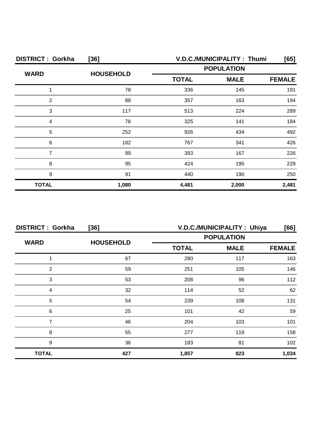| <b>DISTRICT: Gorkha</b> | $[36]$           | V.D.C./MUNICIPALITY: Thumi<br>[65] |             |               |
|-------------------------|------------------|------------------------------------|-------------|---------------|
| <b>WARD</b>             | <b>HOUSEHOLD</b> | <b>POPULATION</b>                  |             |               |
|                         |                  | <b>TOTAL</b>                       | <b>MALE</b> | <b>FEMALE</b> |
|                         | 78               | 336                                | 145         | 191           |
| っ                       | 88               | 357                                | 163         | 194           |
| З                       | 117              | 513                                | 224         | 289           |
|                         | 78               | 325                                | 141         | 184           |
| 5                       | 252              | 926                                | 434         | 492           |
| 6                       | 182              | 767                                | 341         | 426           |
|                         | 99               | 393                                | 167         | 226           |
| 8                       | 95               | 424                                | 195         | 229           |
| 9                       | 91               | 440                                | 190         | 250           |
| <b>TOTAL</b>            | 1,080            | 4,481                              | 2,000       | 2,481         |

| <b>DISTRICT: Gorkha</b> | $[36]$           |                   | V.D.C./MUNICIPALITY: Uhiya | [66]          |
|-------------------------|------------------|-------------------|----------------------------|---------------|
|                         | <b>HOUSEHOLD</b> | <b>POPULATION</b> |                            |               |
| <b>WARD</b>             |                  | <b>TOTAL</b>      | <b>MALE</b>                | <b>FEMALE</b> |
|                         | 67               | 280               | 117                        | 163           |
| 2                       | 59               | 251               | 105                        | 146           |
| 3                       | 53               | 208               | 96                         | 112           |
|                         | 32               | 114               | 52                         | 62            |
| 5                       | 54               | 239               | 108                        | 131           |
| 6                       | 25               | 101               | 42                         | 59            |
|                         | 46               | 204               | 103                        | 101           |
| 8                       | 55               | 277               | 119                        | 158           |
| 9                       | 36               | 183               | 81                         | 102           |
| <b>TOTAL</b>            | 427              | 1,857             | 823                        | 1,034         |